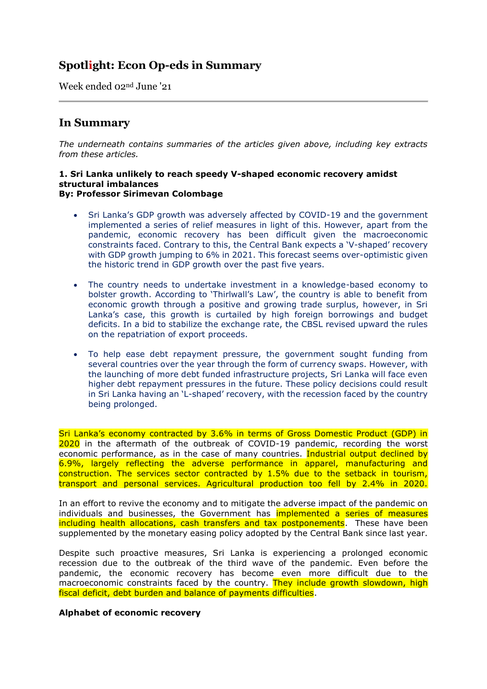# **Spotlight: Econ Op-eds in Summary**

Week ended 02nd June '21

## **In Summary**

*The underneath contains summaries of the articles given above, including key extracts from these articles.*

#### **1. Sri Lanka unlikely to reach speedy V-shaped economic recovery amidst structural imbalances By: Professor Sirimevan Colombage**

- Sri Lanka's GDP growth was adversely affected by COVID-19 and the government implemented a series of relief measures in light of this. However, apart from the pandemic, economic recovery has been difficult given the macroeconomic constraints faced. Contrary to this, the Central Bank expects a 'V-shaped' recovery with GDP growth jumping to 6% in 2021. This forecast seems over-optimistic given the historic trend in GDP growth over the past five years.
- The country needs to undertake investment in a knowledge-based economy to bolster growth. According to 'Thirlwall's Law', the country is able to benefit from economic growth through a positive and growing trade surplus, however, in Sri Lanka's case, this growth is curtailed by high foreign borrowings and budget deficits. In a bid to stabilize the exchange rate, the CBSL revised upward the rules on the repatriation of export proceeds.
- To help ease debt repayment pressure, the government sought funding from several countries over the year through the form of currency swaps. However, with the launching of more debt funded infrastructure projects, Sri Lanka will face even higher debt repayment pressures in the future. These policy decisions could result in Sri Lanka having an 'L-shaped' recovery, with the recession faced by the country being prolonged.

Sri Lanka's economy contracted by 3.6% in terms of Gross Domestic Product (GDP) in 2020 in the aftermath of the outbreak of COVID-19 pandemic, recording the worst economic performance, as in the case of many countries. Industrial output declined by 6.9%, largely reflecting the adverse performance in apparel, manufacturing and construction. The services sector contracted by 1.5% due to the setback in tourism, transport and personal services. Agricultural production too fell by 2.4% in 2020.

In an effort to revive the economy and to mitigate the adverse impact of the pandemic on individuals and businesses, the Government has *implemented a series of measures* including health allocations, cash transfers and tax postponements. These have been supplemented by the monetary easing policy adopted by the Central Bank since last year.

Despite such proactive measures, Sri Lanka is experiencing a prolonged economic recession due to the outbreak of the third wave of the pandemic. Even before the pandemic, the economic recovery has become even more difficult due to the macroeconomic constraints faced by the country. They include growth slowdown, high fiscal deficit, debt burden and balance of payments difficulties.

## **Alphabet of economic recovery**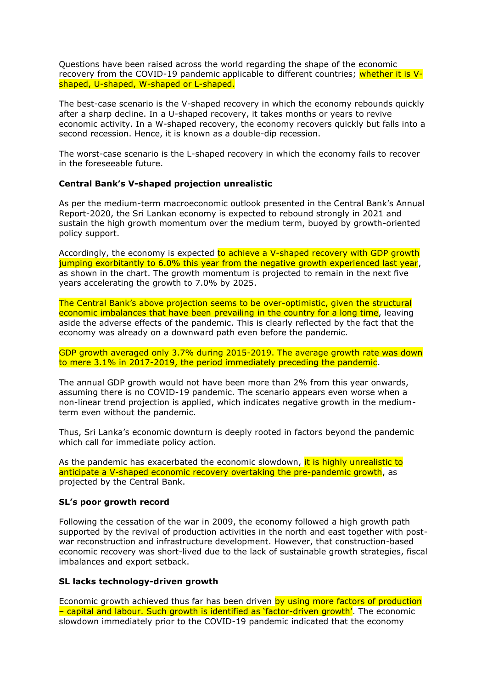Questions have been raised across the world regarding the shape of the economic recovery from the COVID-19 pandemic applicable to different countries; whether it is Vshaped, U-shaped, W-shaped or L-shaped.

The best-case scenario is the V-shaped recovery in which the economy rebounds quickly after a sharp decline. In a U-shaped recovery, it takes months or years to revive economic activity. In a W-shaped recovery, the economy recovers quickly but falls into a second recession. Hence, it is known as a double-dip recession.

The worst-case scenario is the L-shaped recovery in which the economy fails to recover in the foreseeable future.

## **Central Bank's V-shaped projection unrealistic**

As per the medium-term macroeconomic outlook presented in the Central Bank's Annual Report-2020, the Sri Lankan economy is expected to rebound strongly in 2021 and sustain the high growth momentum over the medium term, buoyed by growth-oriented policy support.

Accordingly, the economy is expected to achieve a V-shaped recovery with GDP growth jumping exorbitantly to 6.0% this year from the negative growth experienced last year, as shown in the chart. The growth momentum is projected to remain in the next five years accelerating the growth to 7.0% by 2025.

The Central Bank's above projection seems to be over-optimistic, given the structural economic imbalances that have been prevailing in the country for a long time, leaving aside the adverse effects of the pandemic. This is clearly reflected by the fact that the economy was already on a downward path even before the pandemic.

GDP growth averaged only 3.7% during 2015-2019. The average growth rate was down to mere 3.1% in 2017-2019, the period immediately preceding the pandemic.

The annual GDP growth would not have been more than 2% from this year onwards, assuming there is no COVID-19 pandemic. The scenario appears even worse when a non-linear trend projection is applied, which indicates negative growth in the mediumterm even without the pandemic.

Thus, Sri Lanka's economic downturn is deeply rooted in factors beyond the pandemic which call for immediate policy action.

As the pandemic has exacerbated the economic slowdown, it is highly unrealistic to anticipate a V-shaped economic recovery overtaking the pre-pandemic growth, as projected by the Central Bank.

#### **SL's poor growth record**

Following the cessation of the war in 2009, the economy followed a high growth path supported by the revival of production activities in the north and east together with postwar reconstruction and infrastructure development. However, that construction-based economic recovery was short-lived due to the lack of sustainable growth strategies, fiscal imbalances and export setback.

#### **SL lacks technology-driven growth**

Economic growth achieved thus far has been driven by using more factors of production – capital and labour. Such growth is identified as 'factor-driven growth'. The economic slowdown immediately prior to the COVID-19 pandemic indicated that the economy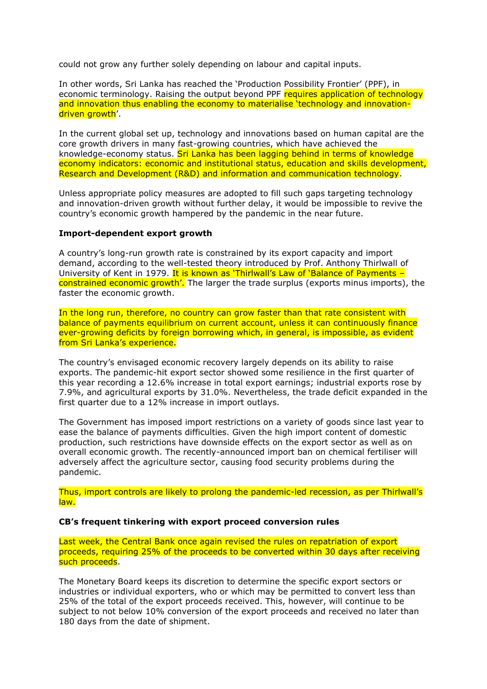could not grow any further solely depending on labour and capital inputs.

In other words, Sri Lanka has reached the 'Production Possibility Frontier' (PPF), in economic terminology. Raising the output beyond PPF requires application of technology and innovation thus enabling the economy to materialise 'technology and innovationdriven growth'.

In the current global set up, technology and innovations based on human capital are the core growth drivers in many fast-growing countries, which have achieved the knowledge-economy status. Sri Lanka has been lagging behind in terms of knowledge economy indicators: economic and institutional status, education and skills development, Research and Development (R&D) and information and communication technology.

Unless appropriate policy measures are adopted to fill such gaps targeting technology and innovation-driven growth without further delay, it would be impossible to revive the country's economic growth hampered by the pandemic in the near future.

#### **Import-dependent export growth**

A country's long-run growth rate is constrained by its export capacity and import demand, according to the well-tested theory introduced by Prof. Anthony Thirlwall of University of Kent in 1979. It is known as 'Thirlwall's Law of 'Balance of Payments constrained economic growth'. The larger the trade surplus (exports minus imports), the faster the economic growth.

In the long run, therefore, no country can grow faster than that rate consistent with balance of payments equilibrium on current account, unless it can continuously finance ever-growing deficits by foreign borrowing which, in general, is impossible, as evident from Sri Lanka's experience.

The country's envisaged economic recovery largely depends on its ability to raise exports. The pandemic-hit export sector showed some resilience in the first quarter of this year recording a 12.6% increase in total export earnings; industrial exports rose by 7.9%, and agricultural exports by 31.0%. Nevertheless, the trade deficit expanded in the first quarter due to a 12% increase in import outlays.

The Government has imposed import restrictions on a variety of goods since last year to ease the balance of payments difficulties. Given the high import content of domestic production, such restrictions have downside effects on the export sector as well as on overall economic growth. The recently-announced import ban on chemical fertiliser will adversely affect the agriculture sector, causing food security problems during the pandemic.

Thus, import controls are likely to prolong the pandemic-led recession, as per Thirlwall's law.

#### **CB's frequent tinkering with export proceed conversion rules**

Last week, the Central Bank once again revised the rules on repatriation of export proceeds, requiring 25% of the proceeds to be converted within 30 days after receiving such proceeds.

The Monetary Board keeps its discretion to determine the specific export sectors or industries or individual exporters, who or which may be permitted to convert less than 25% of the total of the export proceeds received. This, however, will continue to be subject to not below 10% conversion of the export proceeds and received no later than 180 days from the date of shipment.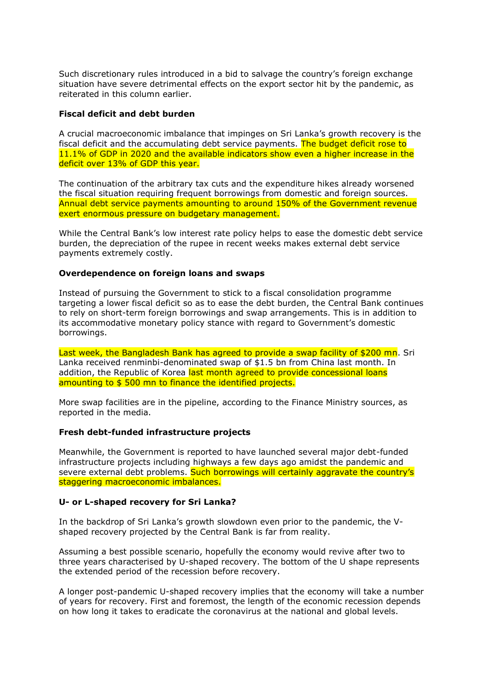Such discretionary rules introduced in a bid to salvage the country's foreign exchange situation have severe detrimental effects on the export sector hit by the pandemic, as reiterated in this column earlier.

## **Fiscal deficit and debt burden**

A crucial macroeconomic imbalance that impinges on Sri Lanka's growth recovery is the fiscal deficit and the accumulating debt service payments. The budget deficit rose to 11.1% of GDP in 2020 and the available indicators show even a higher increase in the deficit over 13% of GDP this year.

The continuation of the arbitrary tax cuts and the expenditure hikes already worsened the fiscal situation requiring frequent borrowings from domestic and foreign sources. Annual debt service payments amounting to around 150% of the Government revenue exert enormous pressure on budgetary management.

While the Central Bank's low interest rate policy helps to ease the domestic debt service burden, the depreciation of the rupee in recent weeks makes external debt service payments extremely costly.

## **Overdependence on foreign loans and swaps**

Instead of pursuing the Government to stick to a fiscal consolidation programme targeting a lower fiscal deficit so as to ease the debt burden, the Central Bank continues to rely on short-term foreign borrowings and swap arrangements. This is in addition to its accommodative monetary policy stance with regard to Government's domestic borrowings.

Last week, the Bangladesh Bank has agreed to provide a swap facility of \$200 mn. Sri Lanka received renminbi-denominated swap of \$1.5 bn from China last month. In addition, the Republic of Korea last month agreed to provide concessional loans amounting to \$ 500 mn to finance the identified projects.

More swap facilities are in the pipeline, according to the Finance Ministry sources, as reported in the media.

## **Fresh debt-funded infrastructure projects**

Meanwhile, the Government is reported to have launched several major debt-funded infrastructure projects including highways a few days ago amidst the pandemic and severe external debt problems. Such borrowings will certainly aggravate the country's staggering macroeconomic imbalances.

## **U- or L-shaped recovery for Sri Lanka?**

In the backdrop of Sri Lanka's growth slowdown even prior to the pandemic, the Vshaped recovery projected by the Central Bank is far from reality.

Assuming a best possible scenario, hopefully the economy would revive after two to three years characterised by U-shaped recovery. The bottom of the U shape represents the extended period of the recession before recovery.

A longer post-pandemic U-shaped recovery implies that the economy will take a number of years for recovery. First and foremost, the length of the economic recession depends on how long it takes to eradicate the coronavirus at the national and global levels.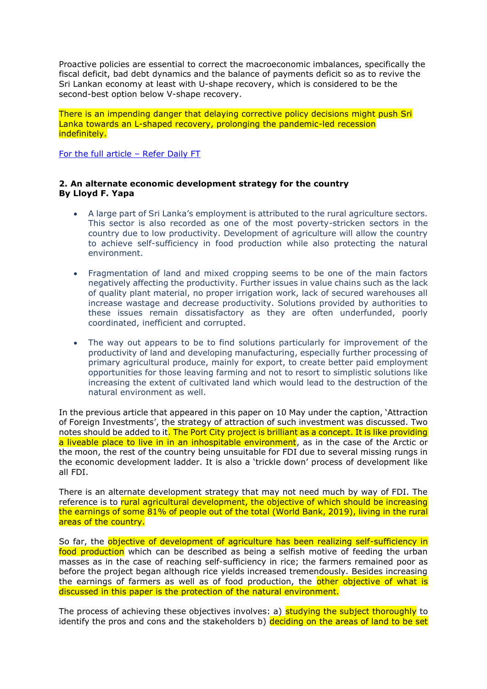Proactive policies are essential to correct the macroeconomic imbalances, specifically the fiscal deficit, bad debt dynamics and the balance of payments deficit so as to revive the Sri Lankan economy at least with U-shape recovery, which is considered to be the second-best option below V-shape recovery.

There is an impending danger that delaying corrective policy decisions might push Sri Lanka towards an L-shaped recovery, prolonging the pandemic-led recession indefinitely.

[For the full article](https://www.ft.lk/opinion/Sri-Lanka-unlikely-to-reach-speedy-V-shaped-economic-recovery-amidst-structural-imbalances/14-718615) – Refer Daily FT

## **2. An alternate economic development strategy for the country By Lloyd F. Yapa**

- A large part of Sri Lanka's employment is attributed to the rural agriculture sectors. This sector is also recorded as one of the most poverty-stricken sectors in the country due to low productivity. Development of agriculture will allow the country to achieve self-sufficiency in food production while also protecting the natural environment.
- Fragmentation of land and mixed cropping seems to be one of the main factors negatively affecting the productivity. Further issues in value chains such as the lack of quality plant material, no proper irrigation work, lack of secured warehouses all increase wastage and decrease productivity. Solutions provided by authorities to these issues remain dissatisfactory as they are often underfunded, poorly coordinated, inefficient and corrupted.
- The way out appears to be to find solutions particularly for improvement of the productivity of land and developing manufacturing, especially further processing of primary agricultural produce, mainly for export, to create better paid employment opportunities for those leaving farming and not to resort to simplistic solutions like increasing the extent of cultivated land which would lead to the destruction of the natural environment as well.

In the previous article that appeared in this paper on 10 May under the caption, 'Attraction of Foreign Investments', the strategy of attraction of such investment was discussed. Two notes should be added to it. The Port City project is brilliant as a concept. It is like providing a liveable place to live in in an inhospitable environment, as in the case of the Arctic or the moon, the rest of the country being unsuitable for FDI due to several missing rungs in the economic development ladder. It is also a 'trickle down' process of development like all FDI.

There is an alternate development strategy that may not need much by way of FDI. The reference is to rural agricultural development, the objective of which should be increasing the earnings of some 81% of people out of the total (World Bank, 2019), living in the rural areas of the country.

So far, the objective of development of agriculture has been realizing self-sufficiency in food production which can be described as being a selfish motive of feeding the urban masses as in the case of reaching self-sufficiency in rice; the farmers remained poor as before the project began although rice yields increased tremendously. Besides increasing the earnings of farmers as well as of food production, the other objective of what is discussed in this paper is the protection of the natural environment.

The process of achieving these objectives involves: a) **studying the subject thoroughly** to identify the pros and cons and the stakeholders b) deciding on the areas of land to be set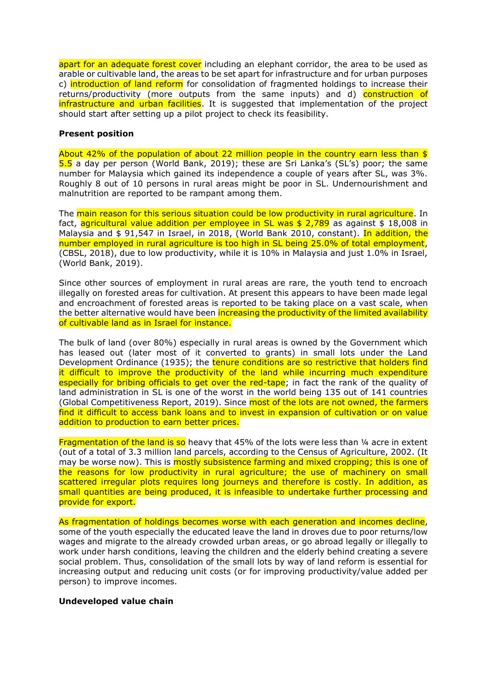apart for an adequate forest cover including an elephant corridor, the area to be used as arable or cultivable land, the areas to be set apart for infrastructure and for urban purposes c) introduction of land reform for consolidation of fragmented holdings to increase their returns/productivity (more outputs from the same inputs) and d) construction of infrastructure and urban facilities. It is suggested that implementation of the project should start after setting up a pilot project to check its feasibility.

## **Present position**

About 42% of the population of about 22 million people in the country earn less than \$ 5.5 a day per person (World Bank, 2019); these are Sri Lanka's (SL's) poor; the same number for Malaysia which gained its independence a couple of years after SL, was 3%. Roughly 8 out of 10 persons in rural areas might be poor in SL. Undernourishment and malnutrition are reported to be rampant among them.

The main reason for this serious situation could be low productivity in rural agriculture. In fact, agricultural value addition per employee in SL was  $$2,789$  as against  $$18,008$  in Malaysia and \$ 91,547 in Israel, in 2018, (World Bank 2010, constant). In addition, the number employed in rural agriculture is too high in SL being 25.0% of total employment, (CBSL, 2018), due to low productivity, while it is 10% in Malaysia and just 1.0% in Israel, (World Bank, 2019).

Since other sources of employment in rural areas are rare, the youth tend to encroach illegally on forested areas for cultivation. At present this appears to have been made legal and encroachment of forested areas is reported to be taking place on a vast scale, when the better alternative would have been increasing the productivity of the limited availability of cultivable land as in Israel for instance.

The bulk of land (over 80%) especially in rural areas is owned by the Government which has leased out (later most of it converted to grants) in small lots under the Land Development Ordinance (1935); the tenure conditions are so restrictive that holders find it difficult to improve the productivity of the land while incurring much expenditure especially for bribing officials to get over the red-tape; in fact the rank of the quality of land administration in SL is one of the worst in the world being 135 out of 141 countries (Global Competitiveness Report, 2019). Since most of the lots are not owned, the farmers find it difficult to access bank loans and to invest in expansion of cultivation or on value addition to production to earn better prices.

Fragmentation of the land is so heavy that  $45%$  of the lots were less than  $\frac{1}{4}$  acre in extent (out of a total of 3.3 million land parcels, according to the Census of Agriculture, 2002. (It may be worse now). This is mostly subsistence farming and mixed cropping; this is one of the reasons for low productivity in rural agriculture; the use of machinery on small scattered irregular plots requires long journeys and therefore is costly. In addition, as small quantities are being produced, it is infeasible to undertake further processing and provide for export.

As fragmentation of holdings becomes worse with each generation and incomes decline, some of the youth especially the educated leave the land in droves due to poor returns/low wages and migrate to the already crowded urban areas, or go abroad legally or illegally to work under harsh conditions, leaving the children and the elderly behind creating a severe social problem. Thus, consolidation of the small lots by way of land reform is essential for increasing output and reducing unit costs (or for improving productivity/value added per person) to improve incomes.

## **Undeveloped value chain**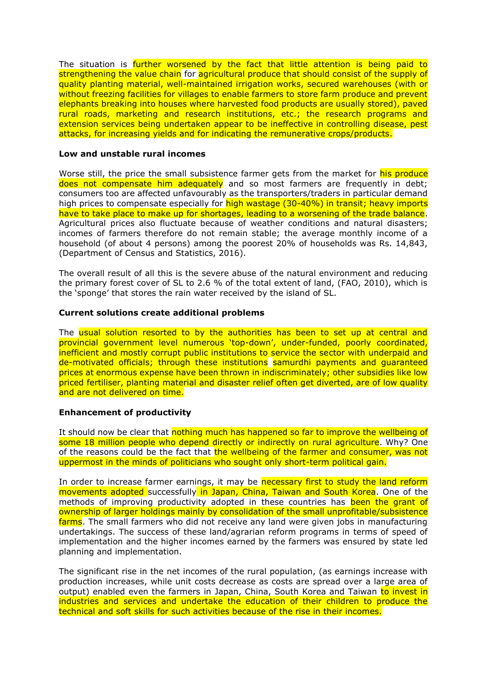The situation is further worsened by the fact that little attention is being paid to strengthening the value chain for agricultural produce that should consist of the supply of quality planting material, well-maintained irrigation works, secured warehouses (with or without freezing facilities for villages to enable farmers to store farm produce and prevent elephants breaking into houses where harvested food products are usually stored), paved rural roads, marketing and research institutions, etc.; the research programs and extension services being undertaken appear to be ineffective in controlling disease, pest attacks, for increasing yields and for indicating the remunerative crops/products.

#### **Low and unstable rural incomes**

Worse still, the price the small subsistence farmer gets from the market for his produce does not compensate him adequately and so most farmers are frequently in debt; consumers too are affected unfavourably as the transporters/traders in particular demand high prices to compensate especially for high wastage (30-40%) in transit; heavy imports have to take place to make up for shortages, leading to a worsening of the trade balance. Agricultural prices also fluctuate because of weather conditions and natural disasters; incomes of farmers therefore do not remain stable; the average monthly income of a household (of about 4 persons) among the poorest 20% of households was Rs. 14,843, (Department of Census and Statistics, 2016).

The overall result of all this is the severe abuse of the natural environment and reducing the primary forest cover of SL to 2.6 % of the total extent of land, (FAO, 2010), which is the 'sponge' that stores the rain water received by the island of SL.

#### **Current solutions create additional problems**

The usual solution resorted to by the authorities has been to set up at central and provincial government level numerous 'top-down', under-funded, poorly coordinated, inefficient and mostly corrupt public institutions to service the sector with underpaid and de-motivated officials; through these institutions samurdhi payments and guaranteed prices at enormous expense have been thrown in indiscriminately; other subsidies like low priced fertiliser, planting material and disaster relief often get diverted, are of low quality and are not delivered on time.

## **Enhancement of productivity**

It should now be clear that nothing much has happened so far to improve the wellbeing of some 18 million people who depend directly or indirectly on rural agriculture. Why? One of the reasons could be the fact that the wellbeing of the farmer and consumer, was not uppermost in the minds of politicians who sought only short-term political gain.

In order to increase farmer earnings, it may be necessary first to study the land reform movements adopted successfully in Japan, China, Taiwan and South Korea. One of the methods of improving productivity adopted in these countries has been the grant of ownership of larger holdings mainly by consolidation of the small unprofitable/subsistence farms. The small farmers who did not receive any land were given jobs in manufacturing undertakings. The success of these land/agrarian reform programs in terms of speed of implementation and the higher incomes earned by the farmers was ensured by state led planning and implementation.

The significant rise in the net incomes of the rural population, (as earnings increase with production increases, while unit costs decrease as costs are spread over a large area of output) enabled even the farmers in Japan, China, South Korea and Taiwan to invest in industries and services and undertake the education of their children to produce the technical and soft skills for such activities because of the rise in their incomes.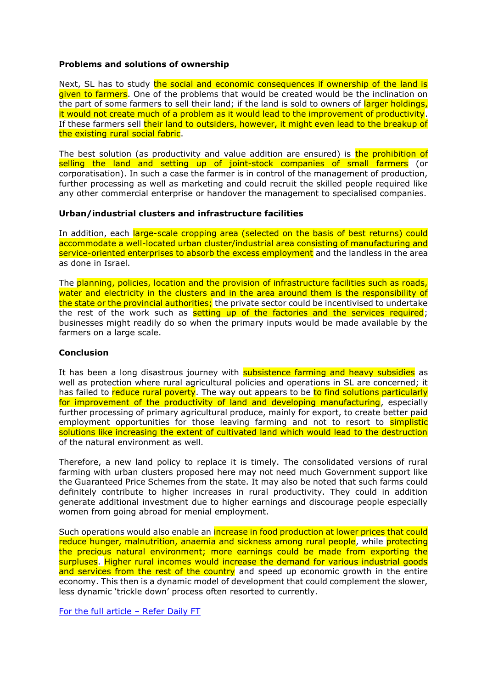## **Problems and solutions of ownership**

Next, SL has to study the social and economic consequences if ownership of the land is given to farmers. One of the problems that would be created would be the inclination on the part of some farmers to sell their land; if the land is sold to owners of larger holdings, it would not create much of a problem as it would lead to the improvement of productivity. If these farmers sell their land to outsiders, however, it might even lead to the breakup of the existing rural social fabric.

The best solution (as productivity and value addition are ensured) is the prohibition of selling the land and setting up of joint-stock companies of small farmers (or corporatisation). In such a case the farmer is in control of the management of production, further processing as well as marketing and could recruit the skilled people required like any other commercial enterprise or handover the management to specialised companies.

#### **Urban/industrial clusters and infrastructure facilities**

In addition, each large-scale cropping area (selected on the basis of best returns) could accommodate a well-located urban cluster/industrial area consisting of manufacturing and service-oriented enterprises to absorb the excess employment and the landless in the area as done in Israel.

The planning, policies, location and the provision of infrastructure facilities such as roads, water and electricity in the clusters and in the area around them is the responsibility of the state or the provincial authorities; the private sector could be incentivised to undertake the rest of the work such as setting up of the factories and the services required; businesses might readily do so when the primary inputs would be made available by the farmers on a large scale.

#### **Conclusion**

It has been a long disastrous journey with **subsistence farming and heavy subsidies** as well as protection where rural agricultural policies and operations in SL are concerned; it has failed to reduce rural poverty. The way out appears to be to find solutions particularly for improvement of the productivity of land and developing manufacturing, especially further processing of primary agricultural produce, mainly for export, to create better paid employment opportunities for those leaving farming and not to resort to **simplistic** solutions like increasing the extent of cultivated land which would lead to the destruction of the natural environment as well.

Therefore, a new land policy to replace it is timely. The consolidated versions of rural farming with urban clusters proposed here may not need much Government support like the Guaranteed Price Schemes from the state. It may also be noted that such farms could definitely contribute to higher increases in rural productivity. They could in addition generate additional investment due to higher earnings and discourage people especially women from going abroad for menial employment.

Such operations would also enable an increase in food production at lower prices that could reduce hunger, malnutrition, anaemia and sickness among rural people, while protecting the precious natural environment; more earnings could be made from exporting the surpluses. Higher rural incomes would increase the demand for various industrial goods and services from the rest of the country and speed up economic growth in the entire economy. This then is a dynamic model of development that could complement the slower, less dynamic 'trickle down' process often resorted to currently.

[For the full article](https://www.ft.lk/opinion/An-alternate-economic-development-strategy-for-the-country/14-718612) – Refer Daily FT